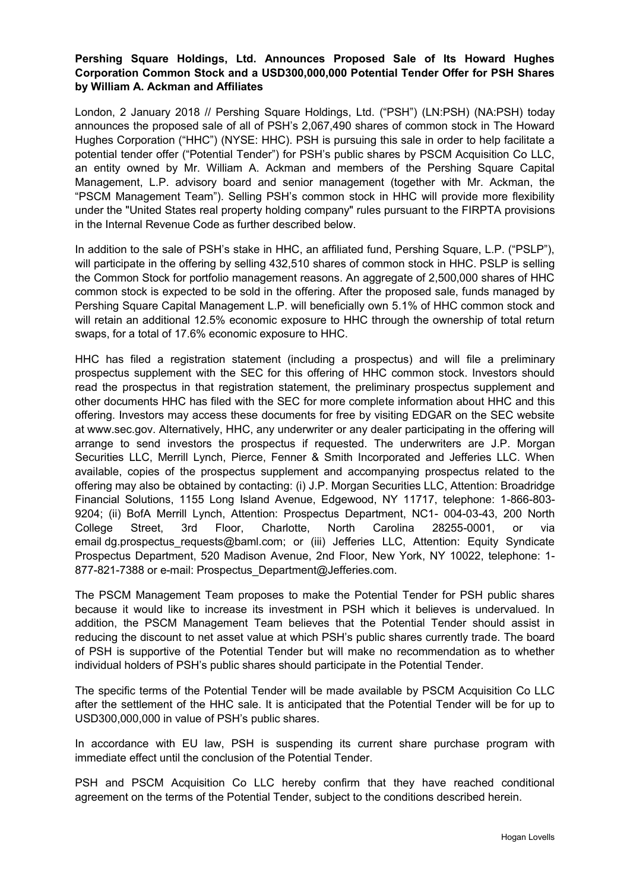## **Pershing Square Holdings, Ltd. Announces Proposed Sale of Its Howard Hughes Corporation Common Stock and a USD300,000,000 Potential Tender Offer for PSH Shares by William A. Ackman and Affiliates**

London, 2 January 2018 // Pershing Square Holdings, Ltd. ("PSH") (LN:PSH) (NA:PSH) today announces the proposed sale of all of PSH's 2,067,490 shares of common stock in The Howard Hughes Corporation ("HHC") (NYSE: HHC). PSH is pursuing this sale in order to help facilitate a potential tender offer ("Potential Tender") for PSH's public shares by PSCM Acquisition Co LLC, an entity owned by Mr. William A. Ackman and members of the Pershing Square Capital Management, L.P. advisory board and senior management (together with Mr. Ackman, the "PSCM Management Team"). Selling PSH's common stock in HHC will provide more flexibility under the "United States real property holding company" rules pursuant to the FIRPTA provisions in the Internal Revenue Code as further described below.

In addition to the sale of PSH's stake in HHC, an affiliated fund, Pershing Square, L.P. ("PSLP"), will participate in the offering by selling 432,510 shares of common stock in HHC. PSLP is selling the Common Stock for portfolio management reasons. An aggregate of 2,500,000 shares of HHC common stock is expected to be sold in the offering. After the proposed sale, funds managed by Pershing Square Capital Management L.P. will beneficially own 5.1% of HHC common stock and will retain an additional 12.5% economic exposure to HHC through the ownership of total return swaps, for a total of 17.6% economic exposure to HHC.

HHC has filed a registration statement (including a prospectus) and will file a preliminary prospectus supplement with the SEC for this offering of HHC common stock. Investors should read the prospectus in that registration statement, the preliminary prospectus supplement and other documents HHC has filed with the SEC for more complete information about HHC and this offering. Investors may access these documents for free by visiting EDGAR on the SEC website at [www.sec.gov.](http://cts.businesswire.com/ct/CT?id=smartlink&url=http%3A%2F%2Fwww.sec.gov&esheet=51736852&newsitemid=20180102005841&lan=en-US&anchor=www.sec.gov&index=1&md5=d03a9cefced21ae5d24a6f9ea98da63b) Alternatively, HHC, any underwriter or any dealer participating in the offering will arrange to send investors the prospectus if requested. The underwriters are J.P. Morgan Securities LLC, Merrill Lynch, Pierce, Fenner & Smith Incorporated and Jefferies LLC. When available, copies of the prospectus supplement and accompanying prospectus related to the offering may also be obtained by contacting: (i) J.P. Morgan Securities LLC, Attention: Broadridge Financial Solutions, 1155 Long Island Avenue, Edgewood, NY 11717, telephone: 1-866-803- 9204; (ii) BofA Merrill Lynch, Attention: Prospectus Department, NC1- 004-03-43, 200 North College Street, 3rd Floor, Charlotte, North Carolina 28255-0001, or via email [dg.prospectus\\_requests@baml.com;](mailto:dg.prospectus_requests@baml.com) or (iii) Jefferies LLC, Attention: Equity Syndicate Prospectus Department, 520 Madison Avenue, 2nd Floor, New York, NY 10022, telephone: 1- 877-821-7388 or e-mail: [Prospectus\\_Department@Jefferies.com.](mailto:Prospectus_Department@Jefferies.com)

The PSCM Management Team proposes to make the Potential Tender for PSH public shares because it would like to increase its investment in PSH which it believes is undervalued. In addition, the PSCM Management Team believes that the Potential Tender should assist in reducing the discount to net asset value at which PSH's public shares currently trade. The board of PSH is supportive of the Potential Tender but will make no recommendation as to whether individual holders of PSH's public shares should participate in the Potential Tender.

The specific terms of the Potential Tender will be made available by PSCM Acquisition Co LLC after the settlement of the HHC sale. It is anticipated that the Potential Tender will be for up to USD300,000,000 in value of PSH's public shares.

In accordance with EU law, PSH is suspending its current share purchase program with immediate effect until the conclusion of the Potential Tender.

PSH and PSCM Acquisition Co LLC hereby confirm that they have reached conditional agreement on the terms of the Potential Tender, subject to the conditions described herein.